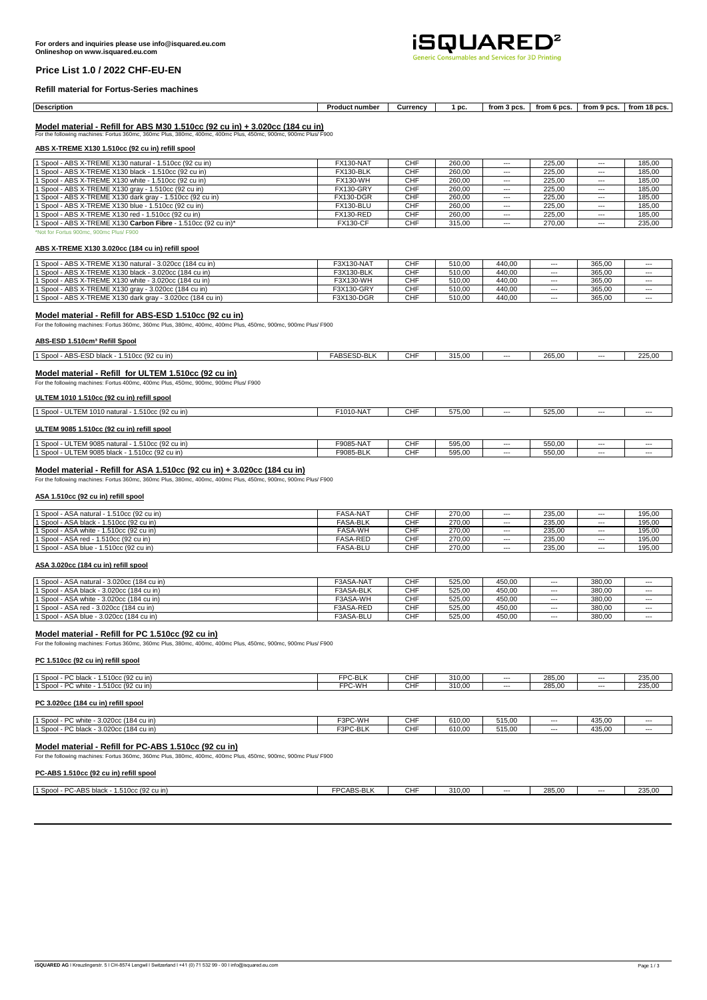

# **Price List 1.0 / 2022 CHF-EU-EN**

#### **Refill material for Fortus-Series machines**

| <b>Description</b> | ∙t number<br>Product | urrencvٽ | m<br>יי | 3 ncs<br>from . | from 6 pcs | 9 DCS<br>from | 18 pcs<br>trom |
|--------------------|----------------------|----------|---------|-----------------|------------|---------------|----------------|
|                    |                      |          |         |                 |            |               |                |

**Model material - Refill for ABS M30 1.510cc (92 cu in) + 3.020cc (184 cu in)** For the following machines: Fortus 360mc, 360mc Plus, 380mc, 400mc, 400mc Plus, 450mc, 900mc, 900mc Plus/ F900

# **ABS X-TREME X130 1.510cc (92 cu in) refill spool**

| 1 Spool - ABS X-TREME X130 natural - 1.510cc (92 cu in)       | FX130-NAT        | <b>CHF</b> | 260.00 | ---   | 225.00 | $--$     | 185.00 |
|---------------------------------------------------------------|------------------|------------|--------|-------|--------|----------|--------|
| 1 Spool - ABS X-TREME X130 black - 1.510cc (92 cu in)         | FX130-BLK        | <b>CHF</b> | 260.00 | ---   | 225.00 | $\cdots$ | 185.00 |
| 1 Spool - ABS X-TREME X130 white - 1.510cc (92 cu in)         | <b>FX130-WH</b>  | <b>CHF</b> | 260.00 | ---   | 225.00 | $\cdots$ | 185.00 |
| 1 Spool - ABS X-TREME X130 gray - 1.510cc (92 cu in)          | <b>FX130-GRY</b> | <b>CHF</b> | 260.00 | ---   | 225.00 | $--$     | 185.00 |
| 1 Spool - ABS X-TREME X130 dark gray - 1.510cc (92 cu in)     | <b>FX130-DGR</b> | <b>CHF</b> | 260.00 | ---   | 225.00 | $\cdots$ | 185.00 |
| 1 Spool - ABS X-TREME X130 blue - 1.510cc (92 cu in)          | FX130-BLU        | <b>CHF</b> | 260.00 | ---   | 225.00 | $\cdots$ | 185.00 |
| 1 Spool - ABS X-TREME X130 red - 1.510cc (92 cu in)           | <b>FX130-RED</b> | <b>CHF</b> | 260.00 | ---   | 225.00 | $--$     | 185.00 |
| 1 Spool - ABS X-TREME X130 Carbon Fibre - 1.510cc (92 cu in)* | <b>FX130-CF</b>  | <b>CHF</b> | 315.00 | $---$ | 270.00 | $\cdots$ | 235.00 |
| *Not for Fortue 900me, 900me Plus/ F900                       |                  |            |        |       |        |          |        |

#### **ABS X-TREME X130 3.020cc (184 cu in) refill spool**

| 1 Spool - ABS X-TREME X130 natural - 3.020cc (184 cu in)   | F3X130-NAT | <b>CHF</b> | 510.00 | 440.00 | $- - -$ | 365.00 | $- - -$ |
|------------------------------------------------------------|------------|------------|--------|--------|---------|--------|---------|
| 1 Spool - ABS X-TREME X130 black - 3.020cc (184 cu in)     | F3X130-BLK | <b>CHF</b> | 510.00 | 440.00 | $- - -$ | 365.00 | $- - -$ |
| 1 Spool - ABS X-TREME X130 white - 3.020cc (184 cu in)     | F3X130-WH  | <b>CHF</b> | 510.00 | 440.00 | $- - -$ | 365.00 | ---     |
| 1 Spool - ABS X-TREME X130 gray - 3.020cc (184 cu in)      | F3X130-GRY | <b>CHF</b> | 510.00 | 440.00 | $- - -$ | 365.00 | ---     |
| 1 Spool - ABS X-TREME X130 dark grav - 3.020cc (184 cu in) | F3X130-DGR | <b>CHF</b> | 510.00 | 440.00 | $- - -$ | 365.00 | $- - -$ |

#### **Model material - Refill for ABS-ESD 1.510cc (92 cu in)**

For the following machines: Fortus 360mc, 360mc Plus, 380mc, 400mc, 400mc Plus, 450mc, 900mc, 900mc Plus/ F900

# **ABS-ESD 1.510cm³ Refill Spool**

| 1.510cc (92 cu in)<br>1 Spool<br>- ABS-ESD black | <b>EADOFOD DLIZ</b><br>-ABSESD-BLK | <b>CHF</b> | 315,00 | $--$ | 265,00 | $- -$ | 225,00 |
|--------------------------------------------------|------------------------------------|------------|--------|------|--------|-------|--------|
|                                                  |                                    |            |        |      |        |       |        |

#### **Model material - Refill for ULTEM 1.510cc (92 cu in)** For the following machines: Fortus 400mc, 400mc Plus, 450mc, 900mc, 900mc Plus/ F900

# **ULTEM 1010 1.510cc (92 cu in) refill spool**

| 1.510cc (92 cu in)<br>1 Spool - ULTEM 1010 natural | F1010-NAT | CHF | 575.00 | $---$ | 525.00 | $--$ | $- - -$ |
|----------------------------------------------------|-----------|-----|--------|-------|--------|------|---------|
|                                                    |           |     |        |       |        |      |         |
|                                                    |           |     |        |       |        |      |         |

# **ULTEM 9085 1.510cc (92 cu in) refill spool**

| LTEM 9085 natural<br>1.510cc (92 cu in)<br>$\mathbf{u}$<br>' Spool<br>UL     | F9085-NAT | CHF | 595,00 | $- - -$ | 550,00 | $--$ | ---     |
|------------------------------------------------------------------------------|-----------|-----|--------|---------|--------|------|---------|
| 1.510cc (92 cu in)<br><sup>1</sup> Spool<br><b>ULTEM 9085 F</b><br>· black ر | F9085-BLK | CHF | 595,00 | $--$    | 550,00 | $--$ | $- - -$ |
|                                                                              |           |     |        |         |        |      |         |

#### **Model material - Refill for ASA 1.510cc (92 cu in) + 3.020cc (184 cu in)**

For the following machines: Fortus 360mc, 360mc Plus, 380mc, 400mc, 400mc Plus, 450mc, 900mc, 900mc Plus/ F900

#### **ASA 1.510cc (92 cu in) refill spool**

| 1 Spool - ASA natural - 1.510cc (92 cu in) | <b>FASA-NAT</b> | <b>CHF</b> | 270.00 | $- - -$        | 235.00 | $--$           | 195.00 |
|--------------------------------------------|-----------------|------------|--------|----------------|--------|----------------|--------|
| 1 Spool - ASA black - 1.510cc (92 cu in)   | <b>FASA-BLK</b> | CHF        | 270.00 | $\overline{a}$ | 235.00 | $\overline{a}$ | 195.00 |
| 1 Spool - ASA white - 1.510cc (92 cu in)   | <b>FASA-WH</b>  | CHF        | 270.00 | $- - -$        | 235.00 | $--$           | 195,00 |
| 1 Spool - ASA red - 1.510cc (92 cu in)     | <b>FASA-RED</b> | CHF        | 270.00 | $---$          | 235.00 | $--$           | 195.00 |
| 1 Spool - ASA blue - 1.510cc (92 cu in)    | <b>FASA-BLU</b> | <b>CHF</b> | 270.00 | $- - -$        | 235.00 | $--$           | 195.00 |

#### **ASA 3.020cc (184 cu in) refill spool**

| 1 Spool - ASA natural - 3.020cc (184 cu in) | F3ASA-NAT | CHF | 525.00 | 450.00 | $---$   | 380.00 | ---   |
|---------------------------------------------|-----------|-----|--------|--------|---------|--------|-------|
| 1 Spool - ASA black - 3.020cc (184 cu in)   | F3ASA-BLK | CHF | 525.00 | 450.00 | $--$    | 380.00 | $---$ |
| 1 Spool - ASA white - 3.020cc (184 cu in)   | F3ASA-WH  | CHF | 525.00 | 450.00 | $---$   | 380.00 | $---$ |
| 1 Spool - ASA red - 3.020cc (184 cu in)     | F3ASA-RED | CHF | 525.00 | 450.00 | $- - -$ | 380.00 | $---$ |
| 1 Spool - ASA blue - 3.020cc (184 cu in)    | F3ASA-BLU | CHF | 525.00 | 450.00 | $---$   | 380.00 | $---$ |

# **Model material - Refill for PC 1.510cc (92 cu in)**

For the following machines: Fortus 360mc, 360mc Plus, 380mc, 400mc, 400mc Plus, 450mc, 900mc, 900mc Plus/ F900

#### **PC 1.510cc (92 cu in) refill spool**

| 1 Spool - PC black - 1.510cc (92 cu in) | FPC-BLK           | <b>CHF</b>    | 310.00 | $- - -$ | 285.00 | $--$  | 235,00 |
|-----------------------------------------|-------------------|---------------|--------|---------|--------|-------|--------|
| 1 Spool - PC white - 1.510cc (92 cu in) | FPC-WH            | CHF           | 310.00 | $- - -$ | 285.00 | $---$ | 235,00 |
| PC 3.020cc (184 cu in) refill spool     |                   |               |        |         |        |       |        |
| $1.0 + 1.00$ $1.00 + 1.000$             | <b>FODO 14/11</b> | $\sim$ $\sim$ | 0.4000 | FAE 00  |        | 1250  |        |

| DC.<br>1 Spool<br>3.020cc (184 cu in)<br>C white | F3PC-WH  | СHІ | 610.00 | 515.00 | $--$    | 435.00 | $- - -$ |
|--------------------------------------------------|----------|-----|--------|--------|---------|--------|---------|
| 1 Spool<br>PC black<br>3.020cc (184 cu in)       | F3PC-BLK | CНI | 610.00 | 515.00 | $- - -$ | 135.00 | $- - -$ |
|                                                  |          |     |        |        |         |        |         |

# **Model material - Refill for PC-ABS 1.510cc (92 cu in)**

For the following machines: Fortus 360mc, 360mc Plus, 380mc, 400mc, 400mc Plus, 450mc, 900mc, 900mc Plus/ F900

### **PC-ABS 1.510cc (92 cu in) refill spool**

| $\sim$<br><sup>3</sup> C-ABS black<br>1.510cc (92 cu in)<br>1 Spool - | <b>FPCABS-BLK</b> | CHI | 310.00 | $--$ | 285.00 | $- - -$ | 2250<br>200.UU |
|-----------------------------------------------------------------------|-------------------|-----|--------|------|--------|---------|----------------|
|                                                                       |                   |     |        |      |        |         |                |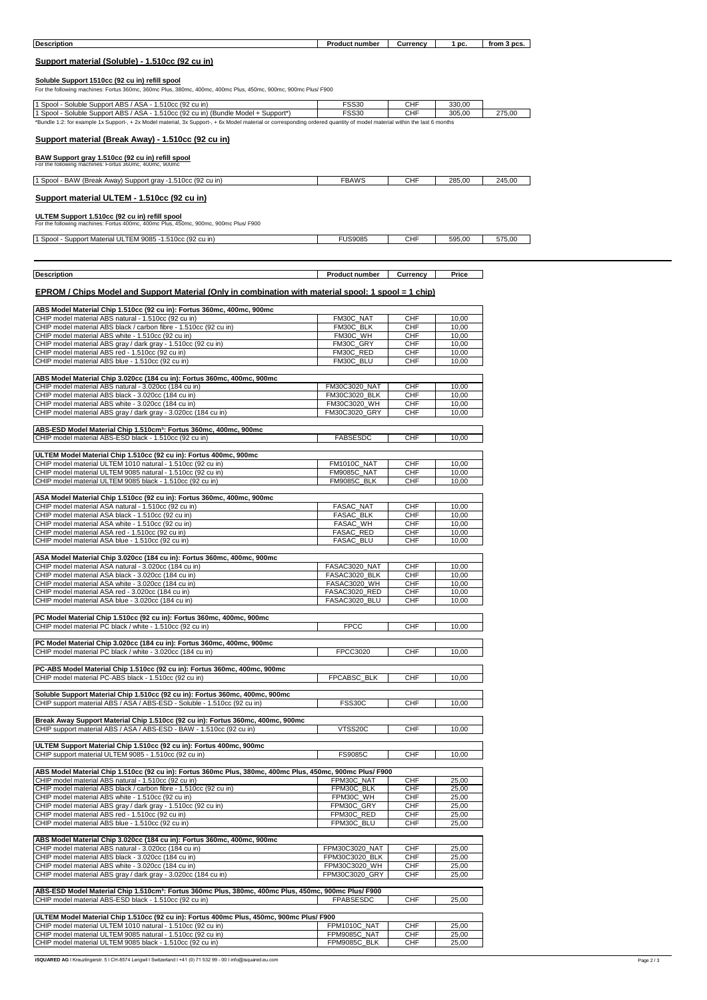| <b>Description</b>                                                                                                                                                       | <b>Product number</b>           | Currency          | 1 pc.          | from 3 pcs. |
|--------------------------------------------------------------------------------------------------------------------------------------------------------------------------|---------------------------------|-------------------|----------------|-------------|
| Support material (Soluble) - 1.510cc (92 cu in)                                                                                                                          |                                 |                   |                |             |
|                                                                                                                                                                          |                                 |                   |                |             |
| Soluble Support 1510cc (92 cu in) refill spool<br>For the following machines: Fortus 360mc, 360mc Plus, 380mc, 400mc, 400mc Plus, 450mc, 900mc, 900mc Plus/ F900         |                                 |                   |                |             |
| 1 Spool - Soluble Support ABS / ASA - 1.510cc (92 cu in)                                                                                                                 | <b>FSS30</b>                    | CHF               | 330,00         |             |
| 1 Spool - Soluble Support ABS / ASA - 1.510cc (92 cu in) (Bundle Model + Support*)                                                                                       | <b>FSS30</b>                    | CHF               | 305,00         | 275,00      |
| *Bundle 1:2: for example 1x Support-, + 2x Model material, 3x Support-, + 6x Model material or corresponding ordered quantity of model material within the last 6 months |                                 |                   |                |             |
| Support material (Break Away) - 1.510cc (92 cu in)                                                                                                                       |                                 |                   |                |             |
| BAW Support gray 1.510cc (92 cu in) refill spool                                                                                                                         |                                 |                   |                |             |
| For the following machines: Fortus 360mc, 400mc, 900mc                                                                                                                   |                                 |                   |                |             |
| 1 Spool - BAW (Break Away) Support gray -1.510cc (92 cu in)                                                                                                              | <b>FBAWS</b>                    | <b>CHF</b>        | 285,00         | 245,00      |
| Support material ULTEM - 1.510cc (92 cu in)                                                                                                                              |                                 |                   |                |             |
|                                                                                                                                                                          |                                 |                   |                |             |
| ULTEM Support 1.510cc (92 cu in) refill spool<br>For the following machines: Fortus 400mc, 400mc Plus, 450mc, 900mc, 900mc Plus/ F900                                    |                                 |                   |                |             |
| 1 Spool - Support Material ULTEM 9085 -1.510cc (92 cu in)                                                                                                                | <b>FUS9085</b>                  | <b>CHF</b>        | 595,00         | 575,00      |
|                                                                                                                                                                          |                                 |                   |                |             |
|                                                                                                                                                                          |                                 |                   |                |             |
| <b>Description</b>                                                                                                                                                       | <b>Product number</b>           | Currency          | Price          |             |
| EPROM / Chips Model and Support Material (Only in combination with material spool: 1 spool = 1 chip)                                                                     |                                 |                   |                |             |
| ABS Model Material Chip 1.510cc (92 cu in): Fortus 360mc, 400mc, 900mc                                                                                                   |                                 |                   |                |             |
| CHIP model material ABS natural - 1.510cc (92 cu in)                                                                                                                     | FM30C NAT                       | CHF               | 10,00          |             |
| CHIP model material ABS black / carbon fibre - 1.510cc (92 cu in)<br>CHIP model material ABS white - 1.510cc (92 cu in)                                                  | FM30C_BLK<br>FM30C_WH           | CHF<br>CHF        | 10,00<br>10,00 |             |
| CHIP model material ABS gray / dark gray - 1.510cc (92 cu in)                                                                                                            | FM30C_GRY                       | <b>CHF</b>        | 10,00          |             |
| CHIP model material ABS red - 1.510cc (92 cu in)<br>CHIP model material ABS blue - 1.510cc (92 cu in)                                                                    | FM30C RED<br>FM30C_BLU          | <b>CHF</b><br>CHF | 10,00<br>10,00 |             |
| ABS Model Material Chip 3.020cc (184 cu in): Fortus 360mc, 400mc, 900mc                                                                                                  |                                 |                   |                |             |
| CHIP model material ABS natural - 3.020cc (184 cu in)                                                                                                                    | FM30C3020 NAT                   | <b>CHF</b>        | 10,00          |             |
| CHIP model material ABS black - 3.020cc (184 cu in)<br>CHIP model material ABS white - 3.020cc (184 cu in)                                                               | FM30C3020 BLK<br>FM30C3020 WH   | <b>CHF</b><br>CHF | 10,00<br>10,00 |             |
| CHIP model material ABS gray / dark gray - 3.020cc (184 cu in)                                                                                                           | FM30C3020_GRY                   | CHF               | 10,00          |             |
| ABS-ESD Model Material Chip 1.510cm <sup>3</sup> : Fortus 360mc, 400mc, 900mc                                                                                            |                                 |                   |                |             |
| CHIP model material ABS-ESD black - 1.510cc (92 cu in)                                                                                                                   | <b>FABSESDC</b>                 | CHF               | 10,00          |             |
| ULTEM Model Material Chip 1.510cc (92 cu in): Fortus 400mc, 900mc                                                                                                        |                                 |                   |                |             |
| CHIP model material ULTEM 1010 natural - 1.510cc (92 cu in)<br>CHIP model material ULTEM 9085 natural - 1.510cc (92 cu in)                                               | FM1010C_NAT<br>FM9085C NAT      | CHF<br>CHF        | 10,00<br>10,00 |             |
| CHIP model material ULTEM 9085 black - 1.510cc (92 cu in)                                                                                                                | FM9085C_BLK                     | CHF               | 10,00          |             |
| ASA Model Material Chip 1.510cc (92 cu in): Fortus 360mc, 400mc, 900mc                                                                                                   |                                 |                   |                |             |
| CHIP model material ASA natural - 1.510cc (92 cu in)<br>CHIP model material ASA black - 1.510cc (92 cu in)                                                               | FASAC_NAT<br>FASAC_BLK          | CHF<br>CHF        | 10,00<br>10,00 |             |
| CHIP model material ASA white - 1.510cc (92 cu in)                                                                                                                       | <b>FASAC WH</b>                 | <b>CHF</b>        | 10,00          |             |
| CHIP model material ASA red - 1.510cc (92 cu in)<br>CHIP model material ASA blue - 1.510cc (92 cu in)                                                                    | <b>FASAC RED</b><br>FASAC_BLU   | CHF<br>CHF        | 10,00<br>10,00 |             |
|                                                                                                                                                                          |                                 |                   |                |             |
| ASA Model Material Chip 3.020cc (184 cu in): Fortus 360mc, 400mc, 900mc<br>CHIP model material ASA natural - 3.020cc (184 cu in)                                         | FASAC3020_NAT                   | <b>CHF</b>        | 10,00          |             |
| CHIP model material ASA black - 3.020cc (184 cu in)<br>CHIP model material ASA white - 3.020cc (184 cu in)                                                               | FASAC3020_BLK<br>FASAC3020_WH   | CHF<br><b>CHF</b> | 10,00<br>10,00 |             |
| CHIP model material ASA red - 3.020cc (184 cu in)                                                                                                                        | FASAC3020_RED                   | CHF               | 10,00          |             |
| CHIP model material ASA blue - 3.020cc (184 cu in)                                                                                                                       | FASAC3020_BLU                   | <b>CHF</b>        | 10,00          |             |
| PC Model Material Chip 1.510cc (92 cu in): Fortus 360mc, 400mc, 900mc                                                                                                    |                                 |                   |                |             |
| CHIP model material PC black / white - 1.510cc (92 cu in)                                                                                                                | <b>FPCC</b>                     | CHF               | 10,00          |             |
| PC Model Material Chip 3.020cc (184 cu in): Fortus 360mc, 400mc, 900mc<br>CHIP model material PC black / white - 3.020cc (184 cu in)                                     | FPCC3020                        | <b>CHF</b>        | 10,00          |             |
|                                                                                                                                                                          |                                 |                   |                |             |
| PC-ABS Model Material Chip 1.510cc (92 cu in): Fortus 360mc, 400mc, 900mc<br>CHIP model material PC-ABS black - 1.510cc (92 cu in)                                       | FPCABSC_BLK                     | <b>CHF</b>        | 10,00          |             |
|                                                                                                                                                                          |                                 |                   |                |             |
| Soluble Support Material Chip 1.510cc (92 cu in): Fortus 360mc, 400mc, 900mc<br>CHIP support material ABS / ASA / ABS-ESD - Soluble - 1.510cc (92 cu in)                 | <b>FSS30C</b>                   | CHF               | 10,00          |             |
|                                                                                                                                                                          |                                 |                   |                |             |
| Break Away Support Material Chip 1.510cc (92 cu in): Fortus 360mc, 400mc, 900mc<br>CHIP support material ABS / ASA / ABS-ESD - BAW - 1.510cc (92 cu in)                  | VTSS20C                         | <b>CHF</b>        | 10,00          |             |
| ULTEM Support Material Chip 1.510cc (92 cu in): Fortus 400mc, 900mc                                                                                                      |                                 |                   |                |             |
| CHIP support material ULTEM 9085 - 1.510cc (92 cu in)                                                                                                                    | <b>FS9085C</b>                  | CHF               | 10,00          |             |
| ABS Model Material Chip 1.510cc (92 cu in): Fortus 360mc Plus, 380mc, 400mc Plus, 450mc, 900mc Plus/ F900                                                                |                                 |                   |                |             |
| CHIP model material ABS natural - 1.510cc (92 cu in)                                                                                                                     | FPM30C NAT                      | <b>CHF</b>        | 25,00          |             |
| CHIP model material ABS black / carbon fibre - 1.510cc (92 cu in)<br>CHIP model material ABS white - 1.510cc (92 cu in)                                                  | FPM30C_BLK<br>FPM30C_WH         | CHF<br>CHF        | 25,00<br>25,00 |             |
| CHIP model material ABS gray / dark gray - 1.510cc (92 cu in)                                                                                                            | FPM30C GRY                      | CHF               | 25,00          |             |
| CHIP model material ABS red - 1.510cc (92 cu in)<br>CHIP model material ABS blue - 1.510cc (92 cu in)                                                                    | FPM30C_RED<br>FPM30C BLU        | CHF<br><b>CHF</b> | 25,00<br>25,00 |             |
| ABS Model Material Chip 3.020cc (184 cu in): Fortus 360mc, 400mc, 900mc                                                                                                  |                                 |                   |                |             |
| CHIP model material ABS natural - 3.020cc (184 cu in)                                                                                                                    | FPM30C3020_NAT                  | CHF               | 25,00          |             |
| CHIP model material ABS black - 3.020cc (184 cu in)<br>CHIP model material ABS white - 3.020cc (184 cu in)                                                               | FPM30C3020_BLK<br>FPM30C3020 WH | CHF<br><b>CHF</b> | 25,00<br>25,00 |             |
| CHIP model material ABS gray / dark gray - 3.020cc (184 cu in)                                                                                                           | FPM30C3020 GRY                  | CHF               | 25,00          |             |
| ABS-ESD Model Material Chip 1.510cm <sup>3</sup> : Fortus 360mc Plus, 380mc, 400mc Plus, 450mc, 900mc Plus/ F900                                                         |                                 |                   |                |             |
| CHIP model material ABS-ESD black - 1.510cc (92 cu in)                                                                                                                   | FPABSESDC                       | <b>CHF</b>        | 25,00          |             |
| ULTEM Model Material Chip 1.510cc (92 cu in): Fortus 400mc Plus, 450mc, 900mc Plus/ F900                                                                                 |                                 |                   |                |             |
| CHIP model material ULTEM 1010 natural - 1.510cc (92 cu in)<br>CHIP model material ULTEM 9085 natural - 1.510cc (92 cu in)                                               | FPM1010C_NAT<br>FPM9085C_NAT    | CHF<br>CHF        | 25,00<br>25,00 |             |
| CHIP model material ULTEM 9085 black - 1.510cc (92 cu in)                                                                                                                | FPM9085C_BLK                    | CHF               | 25,00          |             |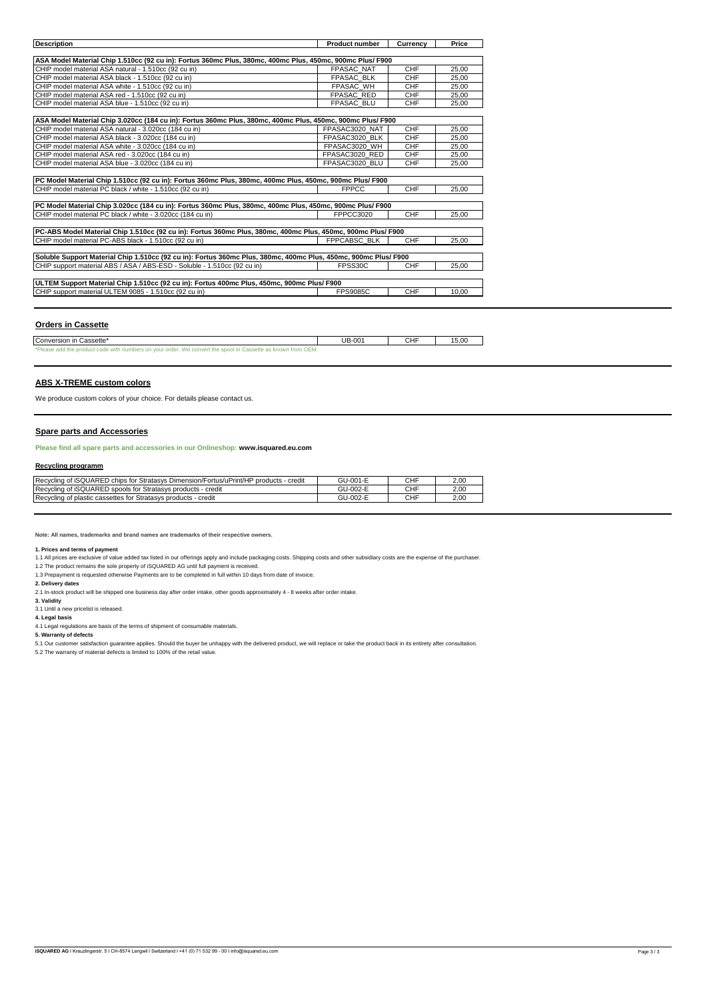| <b>Description</b>                                                                                              | <b>Product number</b> | Currency   | Price |  |  |  |  |
|-----------------------------------------------------------------------------------------------------------------|-----------------------|------------|-------|--|--|--|--|
|                                                                                                                 |                       |            |       |  |  |  |  |
| ASA Model Material Chip 1.510cc (92 cu in): Fortus 360mc Plus, 380mc, 400mc Plus, 450mc, 900mc Plus/ F900       |                       |            |       |  |  |  |  |
| CHIP model material ASA natural - 1.510cc (92 cu in)                                                            | <b>FPASAC NAT</b>     | CHF        | 25.00 |  |  |  |  |
| CHIP model material ASA black - 1.510cc (92 cu in)                                                              | <b>FPASAC BLK</b>     | CHF        | 25.00 |  |  |  |  |
| CHIP model material ASA white - 1.510cc (92 cu in)                                                              | <b>FPASAC WH</b>      | <b>CHF</b> | 25.00 |  |  |  |  |
| CHIP model material ASA red - 1.510cc (92 cu in)                                                                | <b>FPASAC RED</b>     | CHF        | 25.00 |  |  |  |  |
| CHIP model material ASA blue - 1.510cc (92 cu in)                                                               | <b>FPASAC BLU</b>     | <b>CHF</b> | 25.00 |  |  |  |  |
|                                                                                                                 |                       |            |       |  |  |  |  |
| ASA Model Material Chip 3.020cc (184 cu in): Fortus 360mc Plus, 380mc, 400mc Plus, 450mc, 900mc Plus/ F900      |                       |            |       |  |  |  |  |
| CHIP model material ASA natural - 3.020cc (184 cu in)                                                           | FPASAC3020 NAT        | CHF        | 25.00 |  |  |  |  |
| CHIP model material ASA black - 3.020cc (184 cu in)                                                             | FPASAC3020 BLK        | <b>CHF</b> | 25.00 |  |  |  |  |
| CHIP model material ASA white - 3.020cc (184 cu in)                                                             | FPASAC3020 WH         | <b>CHF</b> | 25.00 |  |  |  |  |
| CHIP model material ASA red - 3.020cc (184 cu in)                                                               | FPASAC3020 RED        | CHF        | 25.00 |  |  |  |  |
| CHIP model material ASA blue - 3.020cc (184 cu in)                                                              | FPASAC3020 BLU        | <b>CHF</b> | 25.00 |  |  |  |  |
|                                                                                                                 |                       |            |       |  |  |  |  |
| PC Model Material Chip 1.510cc (92 cu in): Fortus 360mc Plus, 380mc, 400mc Plus, 450mc, 900mc Plus/ F900        |                       |            |       |  |  |  |  |
| CHIP model material PC black / white - 1.510cc (92 cu in)                                                       | <b>FPPCC</b>          | CHF        | 25.00 |  |  |  |  |
|                                                                                                                 |                       |            |       |  |  |  |  |
| PC Model Material Chip 3.020cc (184 cu in): Fortus 360mc Plus, 380mc, 400mc Plus, 450mc, 900mc Plus/ F900       |                       |            |       |  |  |  |  |
| CHIP model material PC black / white - 3.020cc (184 cu in)                                                      | FPPCC3020             | <b>CHF</b> | 25,00 |  |  |  |  |
| PC-ABS Model Material Chip 1.510cc (92 cu in): Fortus 360mc Plus, 380mc, 400mc Plus, 450mc, 900mc Plus/ F900    |                       |            |       |  |  |  |  |
| CHIP model material PC-ABS black - 1.510cc (92 cu in)                                                           | <b>FPPCABSC BLK</b>   | <b>CHF</b> | 25,00 |  |  |  |  |
|                                                                                                                 |                       |            |       |  |  |  |  |
| Soluble Support Material Chip 1.510cc (92 cu in): Fortus 360mc Plus, 380mc, 400mc Plus, 450mc, 900mc Plus/ F900 |                       |            |       |  |  |  |  |
| CHIP support material ABS / ASA / ABS-ESD - Soluble - 1.510cc (92 cu in)                                        | FPSS30C               | <b>CHF</b> | 25.00 |  |  |  |  |
|                                                                                                                 |                       |            |       |  |  |  |  |
| ULTEM Support Material Chip 1.510cc (92 cu in): Fortus 400mc Plus, 450mc, 900mc Plus/ F900                      |                       |            |       |  |  |  |  |
| CHIP support material ULTEM 9085 - 1.510cc (92 cu in)                                                           | <b>FPS9085C</b>       | <b>CHF</b> | 10.00 |  |  |  |  |
|                                                                                                                 |                       |            |       |  |  |  |  |

## **Orders in Cassette**

| Conversion in<br>. Cassette*                                                                                                                        | UB-001 | CHF | 15.00 |
|-----------------------------------------------------------------------------------------------------------------------------------------------------|--------|-----|-------|
| *Please »<br>OEM.<br>Cassette as known<br><b>We</b><br>trom<br>CODIAN<br>$\sim$<br>' order.<br>with numh<br>ers on<br>vour<br>$\sim$<br><br>1.11177 |        |     |       |

#### **ABS X-TREME custom colors**

We produce custom colors of your choice. For details please contact us.

#### **Spare parts and Accessories**

**Please find all spare parts and accessories in our Onlineshop: www.isquared.eu.com**

#### **Recycling programm**

| Recycling of iSQUARED chips for Stratasys Dimension/Fortus/uPrint/HP products - credit | GU-001-E | CHF | 2.00 |
|----------------------------------------------------------------------------------------|----------|-----|------|
| Recycling of iSQUARED spools for Stratasys products - credit                           | GU-002-E | CHF | 2.00 |
| Recycling of plastic cassettes for Stratasys products - credit                         | GU-002-E | CHF | 2.00 |

**Note: All names, trademarks and brand names are trademarks of their respective owners.**

**1. Prices and terms of payment**

1.1 All prices are exclusive of value added tax listed in our offerings apply and include packaging costs. Shipping costs and other subsidiary costs are the expense of the purchaser.<br>1.2 The product remains the sole proper

**2. Delivery dates**

2.1 In-stock product will be shipped one business day after order intake, other goods approximately 4 - 8 weeks after order intake.

**3. Validity** 3.1 Until a new pricelist is released.

**4. Legal basis**

4.1 Legal regulations are basis of the terms of shipment of consumable materials. **5. Warranty of defects**

5.1 Our customer satisfaction guarantee applies. Should the buyer be unhappy with the delivered product, we will replace or take the product back in its entirety after consultation.<br>5.2 The warranty of material defects is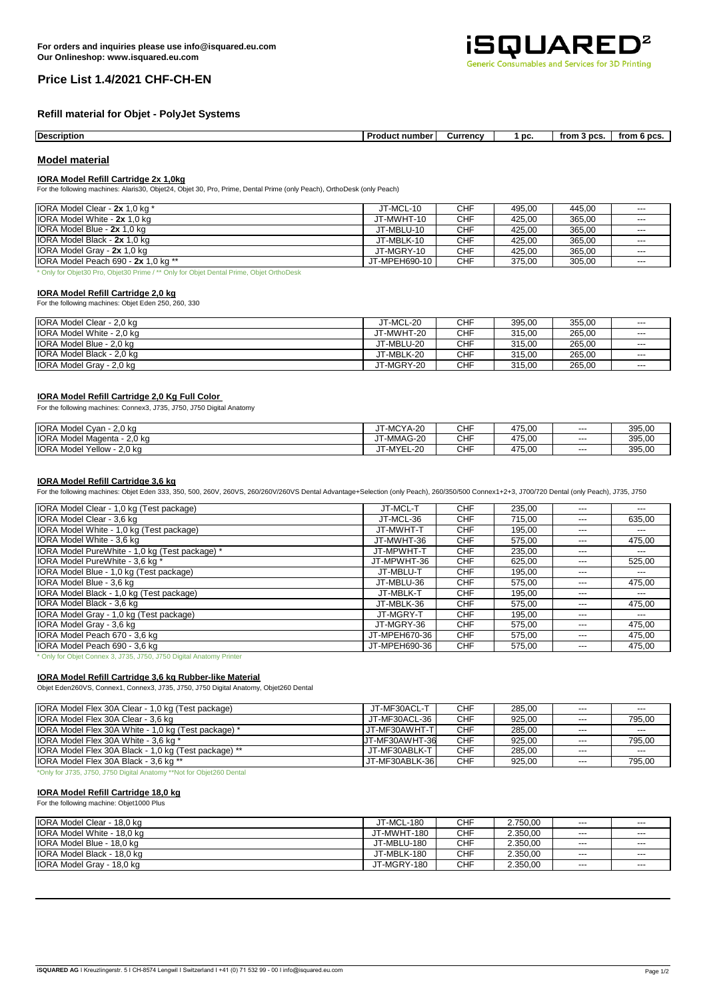

# **Price List 1.4/2021 CHF-CH-EN**

# **Refill material for Objet - PolyJet Systems**

| Description | Product<br>t number: | Currencv | ЮC | trom<br>ncs | ੋ DCS<br>trom |
|-------------|----------------------|----------|----|-------------|---------------|

### **Model material**

#### **IORA Model Refill Cartridge 2x 1,0kg**

For the following machines: Alaris30, Objet24, Objet 30, Pro, Prime, Dental Prime (only Peach), OrthoDesk (only Peach)

| IORA Model Clear - 2x 1,0 kg *      | JT-MCL-10     | <b>CHF</b> | 495.00 | 445.00 | $---$                    |
|-------------------------------------|---------------|------------|--------|--------|--------------------------|
| IORA Model White - 2x 1,0 kg        | JT-MWHT-10    | <b>CHF</b> | 425.00 | 365.00 | $\overline{\phantom{a}}$ |
| IORA Model Blue - 2x 1,0 kg         | JT-MBLU-10    | <b>CHF</b> | 425.00 | 365,00 | $---$                    |
| IORA Model Black - 2x 1.0 kg        | JT-MBLK-10    | <b>CHF</b> | 425.00 | 365.00 | $\overline{\phantom{a}}$ |
| IORA Model Grav - 2x 1.0 kg         | JT-MGRY-10    | <b>CHF</b> | 425.00 | 365.00 | $---$                    |
| IORA Model Peach 690 - 2x 1,0 kg ** | JT-MPEH690-10 | <b>CHF</b> | 375.00 | 305,00 | $---$                    |

\* Only for Objet30 Pro, Objet30 Prime / \*\* Only for Objet Dental Prime, Objet OrthoDesk

#### **IORA Model Refill Cartridge 2,0 kg**

For the following machines: Objet Eden 250, 260, 330

| <b>IORA Model Clear - 2.0 kg</b> | JT-MCL-20  | CHF | 395.00 | 355.00 | $---$ |
|----------------------------------|------------|-----|--------|--------|-------|
| IORA Model White - 2,0 kg        | JT-MWHT-20 | CHF | 315.00 | 265.00 | $---$ |
| IORA Model Blue - 2.0 kg         | JT-MBLU-20 | CHF | 315.00 | 265,00 | $---$ |
| IORA Model Black - 2.0 kg        | JT-MBLK-20 | CHF | 315.00 | 265.00 | $---$ |
| IORA Model Gray - 2,0 kg         | JT-MGRY-20 | CHF | 315.00 | 265,00 | $---$ |

#### **IORA Model Refill Cartridge 2,0 Kg Full Color**

For the following machines: Connex3, J735, J750, J750 Digital Anatomy

| <b>IORA Model Cyan</b><br>2.0 ka                     | JT-MCYA-20                       | CHF | 475.00 | $---$ | 395,00 |
|------------------------------------------------------|----------------------------------|-----|--------|-------|--------|
| <b>IORA Model Magenta -</b><br>2.0 ka                | JT-MMAG-20                       | CHF | 475.00 | $---$ | 395.00 |
| <b>IORA Model</b><br>'Yellow - .<br>2.0 <sub>k</sub> | MYFI<br>YEL-20<br>"- ال<br>1 V I | CHF | 475,00 | $---$ | 395,00 |

# **IORA Model Refill Cartridge 3,6 kg**

For the following machines: Objet Eden 333, 350, 500, 260V, 260VS, 260/260V/260VS Dental Advantage+Selection (only Peach), 260/350/500 Connex1+2+3, J700/720 Dental (only Peach), J735, J750

| IORA Model Clear - 1,0 kg (Test package)       | JT-MCL-T      | <b>CHF</b> | 235.00 | $---$ | ---    |
|------------------------------------------------|---------------|------------|--------|-------|--------|
| IORA Model Clear - 3,6 kg                      | JT-MCL-36     | <b>CHF</b> | 715.00 | $---$ | 635,00 |
| IORA Model White - 1,0 kg (Test package)       | JT-MWHT-T     | <b>CHF</b> | 195.00 | $---$ | $---$  |
| IORA Model White - 3,6 kg                      | JT-MWHT-36    | <b>CHF</b> | 575.00 | $---$ | 475,00 |
| IORA Model PureWhite - 1,0 kg (Test package) * | JT-MPWHT-T    | <b>CHF</b> | 235,00 | $---$ | ---    |
| IORA Model PureWhite - 3,6 kg *                | JT-MPWHT-36   | <b>CHF</b> | 625,00 | $---$ | 525,00 |
| IORA Model Blue - 1,0 kg (Test package)        | JT-MBLU-T     | <b>CHF</b> | 195,00 | $---$ | ---    |
| IORA Model Blue - 3,6 kg                       | JT-MBLU-36    | <b>CHF</b> | 575.00 | $---$ | 475.00 |
| IORA Model Black - 1,0 kg (Test package)       | JT-MBLK-T     | <b>CHF</b> | 195.00 | $---$ | ---    |
| IORA Model Black - 3,6 kg                      | JT-MBLK-36    | <b>CHF</b> | 575.00 | $---$ | 475,00 |
| IORA Model Gray - 1,0 kg (Test package)        | JT-MGRY-T     | <b>CHF</b> | 195.00 | $---$ | ---    |
| IORA Model Gray - 3,6 kg                       | JT-MGRY-36    | <b>CHF</b> | 575,00 | $---$ | 475,00 |
| IORA Model Peach 670 - 3,6 kg                  | JT-MPEH670-36 | <b>CHF</b> | 575.00 | $---$ | 475.00 |
| IORA Model Peach 690 - 3,6 kg                  | JT-MPEH690-36 | <b>CHF</b> | 575.00 | $---$ | 475,00 |

\* Only for Objet Connex 3, J735, J750, J750 Digital Anatomy Printer

#### **IORA Model Refill Cartridge 3,6 kg Rubber-like Material**

Objet Eden260VS, Connex1, Connex3, J735, J750, J750 Digital Anatomy, Objet260 Dental

| IORA Model Flex 30A Clear - 1,0 kg (Test package)    | JT-MF30ACL-T   | <b>CHF</b> | 285.00 | $---$ | $---$  |
|------------------------------------------------------|----------------|------------|--------|-------|--------|
| IORA Model Flex 30A Clear - 3,6 kg                   | JT-MF30ACL-36  | <b>CHF</b> | 925.00 | $---$ | 795.00 |
| IORA Model Flex 30A White - 1,0 kg (Test package) *  | JT-MF30AWHT-T  | <b>CHF</b> | 285.00 | $---$ | $---$  |
| IORA Model Flex 30A White - 3.6 kg *                 | JT-MF30AWHT-36 | <b>CHF</b> | 925.00 | $---$ | 795.00 |
| IORA Model Flex 30A Black - 1,0 kg (Test package) ** | JT-MF30ABLK-T  | <b>CHF</b> | 285.00 | $---$ | $---$  |
| IORA Model Flex 30A Black - 3,6 kg **                | JT-MF30ABLK-36 | <b>CHF</b> | 925.00 | $---$ | 795.00 |

--- | IORA Model Black - 18,0 kg | محب | التحمل المستقلة | JT-MBLK-180 | CHF | 2.350,00 | محب | محب | محب | ال --- | IORA Model Gray - 18,0 kg JT-MGRY-180 | CHF | 2.350,00 | --- | ---

\*Only for J735, J750, J750 Digital Anatomy \*\*Not for Objet260 Dental

#### **IORA Model Refill Cartridge 18,0 kg** For the following machine: Objet1000 Plus

| <b>IORA Model Clear</b><br>18.0 ka    | JT-MCL-180       | <b>CHF</b> | 2.750.00 | $---$ | $\overline{a}$ |
|---------------------------------------|------------------|------------|----------|-------|----------------|
| <b>IORA</b><br>Model White<br>18.0 ka | JT-MWHT-180      | <b>CHF</b> | 2.350.00 | $---$ | $\overline{a}$ |
| <b>IORA Model Blue -</b><br>18,0 kg   | JT-MBLU-180<br>ີ | <b>CHF</b> | 2.350,00 | $---$ | $\overline{a}$ |